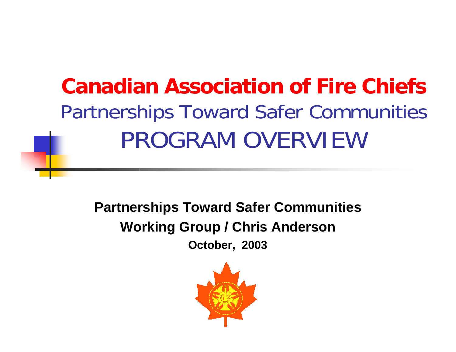**Canadian Association of Fire Chiefs**Partnerships Toward Safer Communities PROGRAM OVERVIEW

**Partnerships Toward Safer Communities Working Group / Chris Anderson October, 2003**

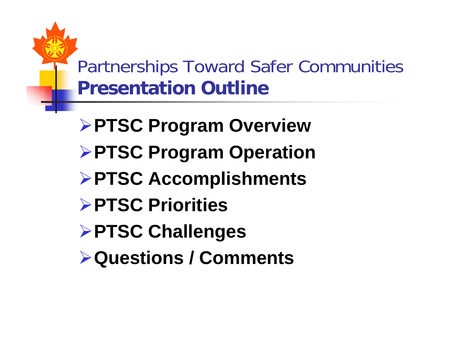Partnerships Toward Safer Communities **Presentation Outline**

- **PTSC Program Overview PTSC Program Operation PTSC Accomplishments PTSC Priorities PTSC Challenges**
- **Questions / Comments**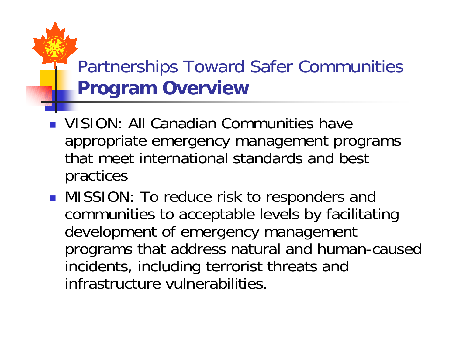### Partnerships Toward Safer Communities **Program Overview**

- **UISION: All Canadian Communities have** appropriate emergency management programs that meet international standards and bestpractices
- MISSION: To reduce risk to responders and communities to acceptable levels by facilitating development of emergency management programs that address natural and human-caused incidents, including terrorist threats and infrastructure vulnerabilities.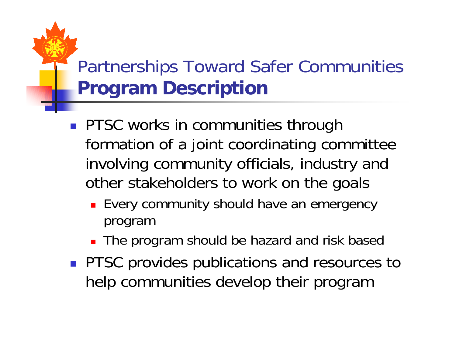## Partnerships Toward Safer Communities **Program Description**

- **PTSC works in communities through** formation of a joint coordinating committee involving community officials, industry and other stakeholders to work on the goals
	- **Exery community should have an emergency** program
	- **The program should be hazard and risk based**
- **PTSC provides publications and resources to** help communities develop their program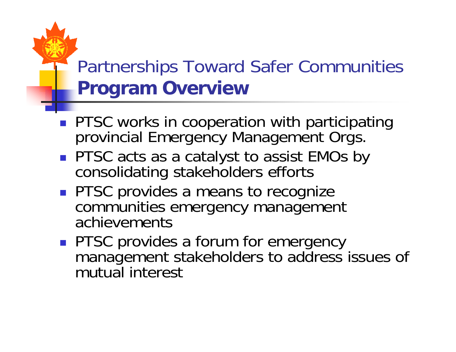#### Partnerships Toward Safer Communities **Program Overview**

- **PTSC works in cooperation with participating** provincial Emergency Management Orgs.
- **PTSC** acts as a catalyst to assist EMOs by consolidating stakeholders efforts
- **PTSC provides a means to recognize** communities emergency management achievements
- **PTSC provides a forum for emergency** management stakeholders to address issues of mutual interest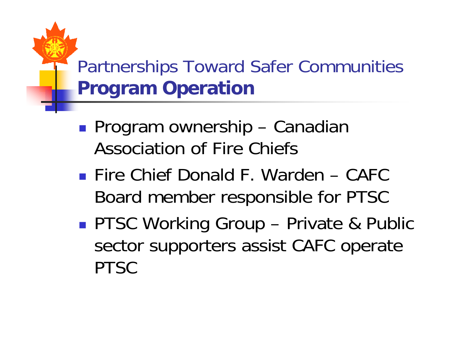## Partnerships Toward Safer Communities **Program Operation**

- **Service Service** ■ Program ownership – Canadian Association of Fire Chiefs
- Fire Chief Donald F. Warden CAFC Board member responsible for PTSC
- **Service Service** ■ PTSC Working Group – Private & Public sector supporters assist CAFC operate PTSC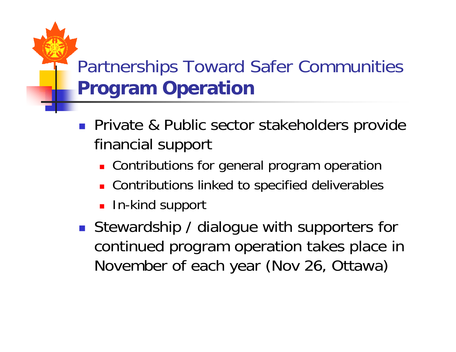## Partnerships Toward Safer Communities **Program Operation**

- **Private & Public sector stakeholders provide** financial support
	- **Contributions for general program operation**
	- **Contributions linked to specified deliverables**
	- **In-kind support**
- **Stewardship / dialogue with supporters for** continued program operation takes place in November of each year (Nov 26, Ottawa)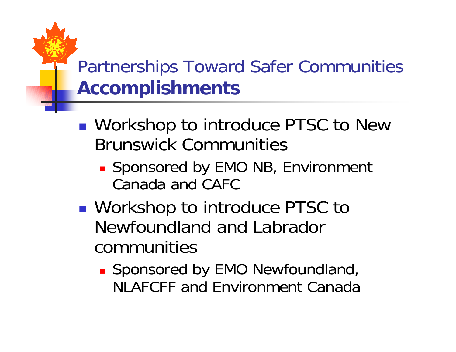### Partnerships Toward Safer Communities **Accomplishments**

- ■ Workshop to introduce PTSC to New Brunswick Communities
	- **Sponsored by EMO NB, Environment** Canada and CAFC
- **Service Service** ■ Workshop to introduce PTSC to Newfoundland and Labradorcommunities
	- **Sponsored by EMO Newfoundland,** NJ AFCFF and Environment Canada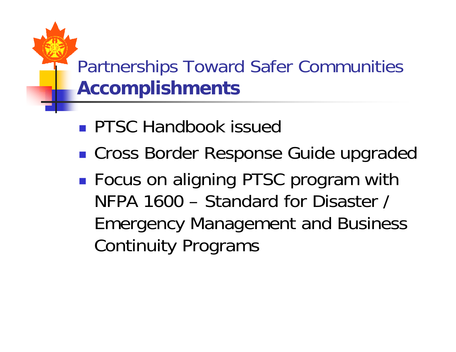#### Partnerships Toward Safer Communities **Accomplishments**

- **PTSC Handbook issued**
- Cross Border Response Guide upgraded
- ■ Focus on aligning PTSC program with NFPA 1600 – Standard for Disaster / Emergency Management and Business Continuity Programs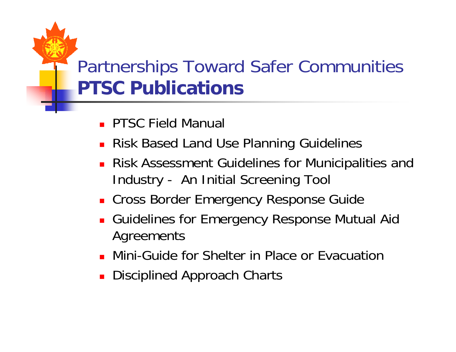#### Partnerships Toward Safer Communities **PTSC Publications**

- **PTSC Field Manual**
- **Risk Based Land Use Planning Guidelines**
- **Risk Assessment Guidelines for Municipalities and** Industry - An Initial Screening Tool
- **Example 2 Cross Border Emergency Response Guide**
- Guidelines for Emergency Response Mutual Aid Agreements
- Mini-Guide for Shelter in Place or Evacuation
- **Disciplined Approach Charts**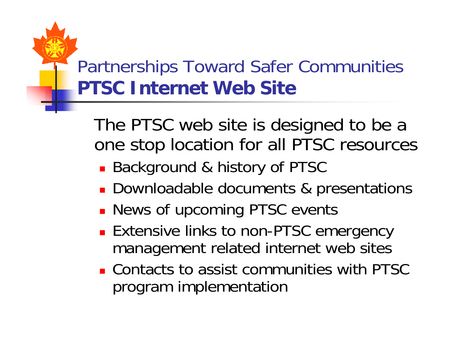### Partnerships Toward Safer Communities **PTSC Internet Web Site**

The PTSC web site is designed to be a one stop location for all PTSC resources

- Background & history of PTSC
- **Downloadable documents & presentations**
- **News of upcoming PTSC events**
- **Extensive links to non-PTSC emergency** management related internet web sites
- Contacts to assist communities with PTSC program implementation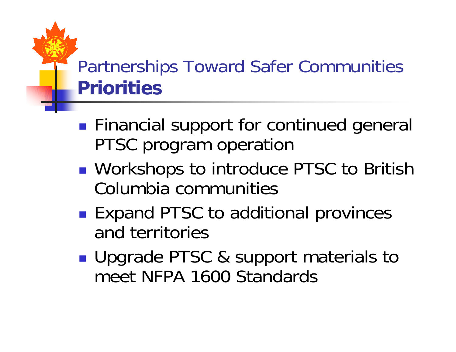#### Partnerships Toward Safer Communities **Priorities**

- **Financial support for continued general** PTSC program operation
- **Service Service** ■ Workshops to introduce PTSC to British Columbia communities
- Expand PTSC to additional provinces and territories
- **Upgrade PTSC & support materials to** meet NFPA 1600 Standards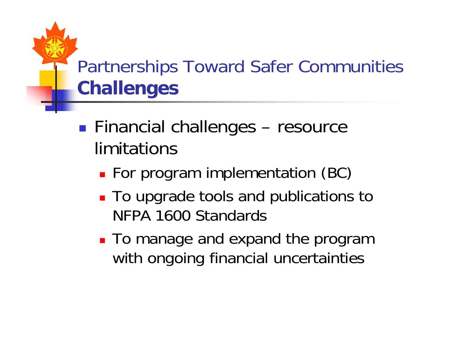# Partnerships Toward Safer Communities **Challenges**

- **Service Service** ■ Financial challenges – resource limitations
	- **For program implementation (BC)**
	- **To upgrade tools and publications to** NFPA 1600 Standards
	- **To manage and expand the program** with ongoing financial uncertainties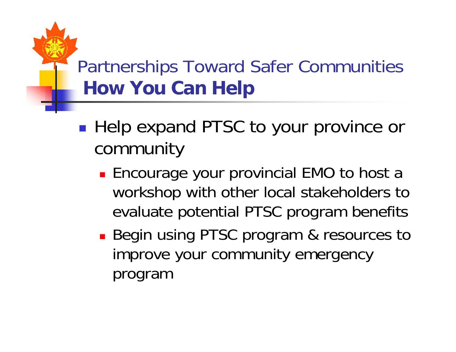## Partnerships Toward Safer Communities **How You Can Help**

- **Service Service** ■ Help expand PTSC to your province or community
	- **Encourage your provincial EMO to host a** workshop with other local stakeholders to evaluate potential PTSC program benefits
	- **Begin using PTSC program & resources to** improve your community emergency program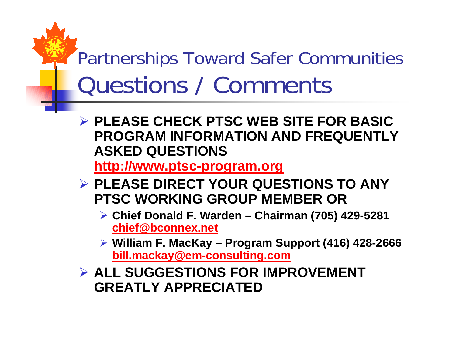# Partnerships Toward Safer Communities Questions / Comments

¾ **PLEASE CHECK PTSC WEB SITE FOR BASIC PROGRAM INFORMATION AND FREQUENTLY ASKED QUESTIONS**

**http://www.ptsc-program.org**

- ¾ **PLEASE DIRECT YOUR QUESTIONS TO ANY PTSC WORKING GROUP MEMBER OR**
	- ¾ **Chief Donald F. Warden Chairman (705) 429-5281 chief@bconnex.net**
	- ¾ **William F. MacKay Program Support (416) 428-2666 bill.mackay@em-consulting.com**

¾ **ALL SUGGESTIONS FOR IMPROVEMENT GREATLY APPRECIATED**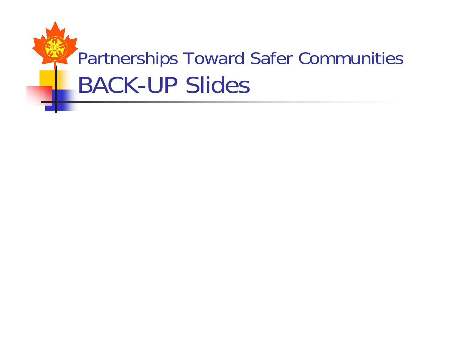# Partnerships Toward Safer Communities BACK-UP Slides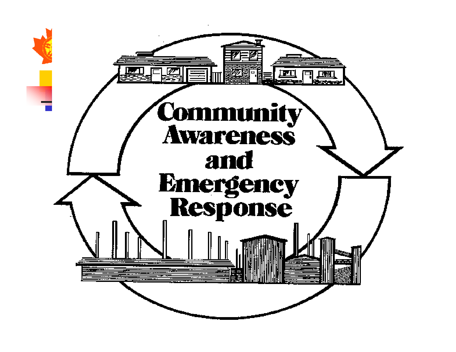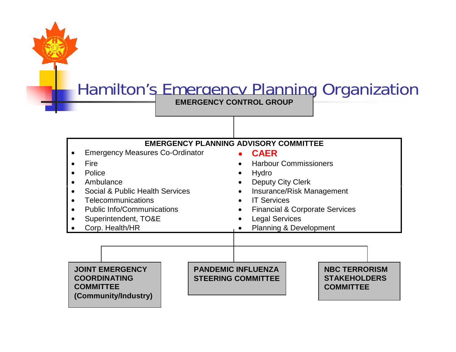#### Hamilton's Emergency Planning Organization

**EMERGENCY CONTROL GROUP**

#### **EMERGENCY PLANNING ADVISORY COMMITTEE**

- Emergency Measures Co-Ordinator
- Fire
- Police
- Ambulance
- Social & Public Health Services
- Telecommunications
- Public Info/Communications
- Superintendent, TO&E
- Corp. Health/HR

•**CAER**

- Harbour Commissioners
- Hydro
- Deputy City Clerk
- Insurance/Risk Management
- IT Services
- Financial & Corporate Services
- Legal Services
- Planning & Development

**JOINT EMERGENCYCOORDINATINGCOMMITTEE(Community/Industry)**

**PANDEMIC INFLUENZASTEERING COMMITTEE** **NBC TERRORISMSTAKEHOLDERSCOMMITTEE**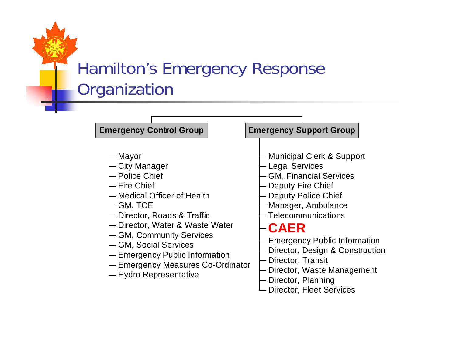#### Hamilton's Emergency Response **Organization**